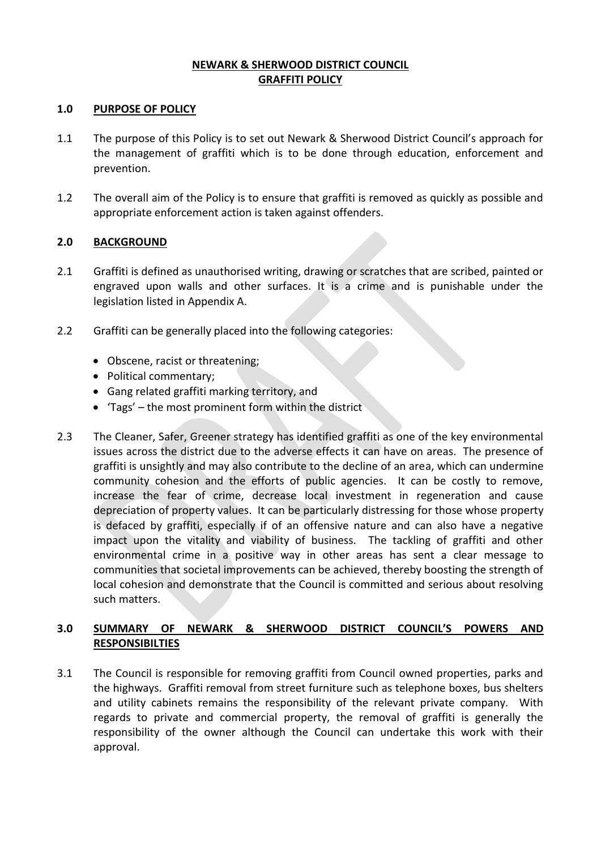### **NEWARK & SHERWOOD DISTRICT COUNCIL GRAFFITI POLICY**

#### **1.0 PURPOSE OF POLICY**

- 1.1 The purpose of this Policy is to set out Newark & Sherwood District Council's approach for the management of graffiti which is to be done through education, enforcement and prevention.
- 1.2 The overall aim of the Policy is to ensure that graffiti is removed as quickly as possible and appropriate enforcement action is taken against offenders.

## **2.0 BACKGROUND**

- 2.1 Graffiti is defined as unauthorised writing, drawing or scratches that are scribed, painted or engraved upon walls and other surfaces. It is a crime and is punishable under the legislation listed in Appendix A.
- 2.2 Graffiti can be generally placed into the following categories:
	- Obscene, racist or threatening;
	- Political commentary;
	- Gang related graffiti marking territory, and
	- $\bullet$  'Tags' the most prominent form within the district
- 2.3 The Cleaner, Safer, Greener strategy has identified graffiti as one of the key environmental issues across the district due to the adverse effects it can have on areas. The presence of graffiti is unsightly and may also contribute to the decline of an area, which can undermine community cohesion and the efforts of public agencies. It can be costly to remove, increase the fear of crime, decrease local investment in regeneration and cause depreciation of property values. It can be particularly distressing for those whose property is defaced by graffiti, especially if of an offensive nature and can also have a negative impact upon the vitality and viability of business. The tackling of graffiti and other environmental crime in a positive way in other areas has sent a clear message to communities that societal improvements can be achieved, thereby boosting the strength of local cohesion and demonstrate that the Council is committed and serious about resolving such matters.

# **3.0 SUMMARY OF NEWARK & SHERWOOD DISTRICT COUNCIL'S POWERS AND RESPONSIBILTIES**

3.1 The Council is responsible for removing graffiti from Council owned properties, parks and the highways. Graffiti removal from street furniture such as telephone boxes, bus shelters and utility cabinets remains the responsibility of the relevant private company. With regards to private and commercial property, the removal of graffiti is generally the responsibility of the owner although the Council can undertake this work with their approval.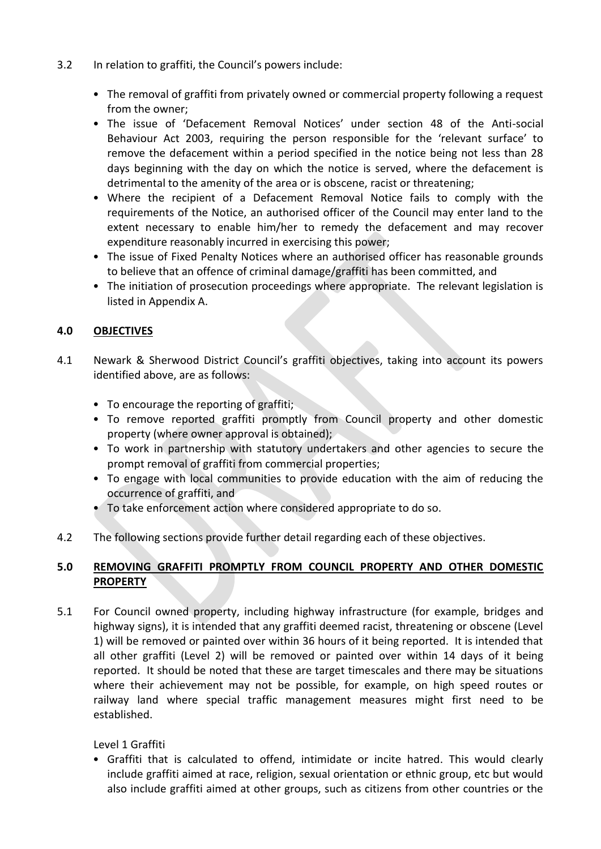- 3.2 In relation to graffiti, the Council's powers include:
	- The removal of graffiti from privately owned or commercial property following a request from the owner;
	- The issue of 'Defacement Removal Notices' under section 48 of the Anti-social Behaviour Act 2003, requiring the person responsible for the 'relevant surface' to remove the defacement within a period specified in the notice being not less than 28 days beginning with the day on which the notice is served, where the defacement is detrimental to the amenity of the area or is obscene, racist or threatening;
	- Where the recipient of a Defacement Removal Notice fails to comply with the requirements of the Notice, an authorised officer of the Council may enter land to the extent necessary to enable him/her to remedy the defacement and may recover expenditure reasonably incurred in exercising this power;
	- The issue of Fixed Penalty Notices where an authorised officer has reasonable grounds to believe that an offence of criminal damage/graffiti has been committed, and
	- The initiation of prosecution proceedings where appropriate. The relevant legislation is listed in Appendix A.

# **4.0 OBJECTIVES**

- 4.1 Newark & Sherwood District Council's graffiti objectives, taking into account its powers identified above, are as follows:
	- To encourage the reporting of graffiti;
	- To remove reported graffiti promptly from Council property and other domestic property (where owner approval is obtained);
	- To work in partnership with statutory undertakers and other agencies to secure the prompt removal of graffiti from commercial properties;
	- To engage with local communities to provide education with the aim of reducing the occurrence of graffiti, and
	- To take enforcement action where considered appropriate to do so.
- 4.2 The following sections provide further detail regarding each of these objectives.

# **5.0 REMOVING GRAFFITI PROMPTLY FROM COUNCIL PROPERTY AND OTHER DOMESTIC PROPERTY**

5.1 For Council owned property, including highway infrastructure (for example, bridges and highway signs), it is intended that any graffiti deemed racist, threatening or obscene (Level 1) will be removed or painted over within 36 hours of it being reported. It is intended that all other graffiti (Level 2) will be removed or painted over within 14 days of it being reported. It should be noted that these are target timescales and there may be situations where their achievement may not be possible, for example, on high speed routes or railway land where special traffic management measures might first need to be established.

## Level 1 Graffiti

• Graffiti that is calculated to offend, intimidate or incite hatred. This would clearly include graffiti aimed at race, religion, sexual orientation or ethnic group, etc but would also include graffiti aimed at other groups, such as citizens from other countries or the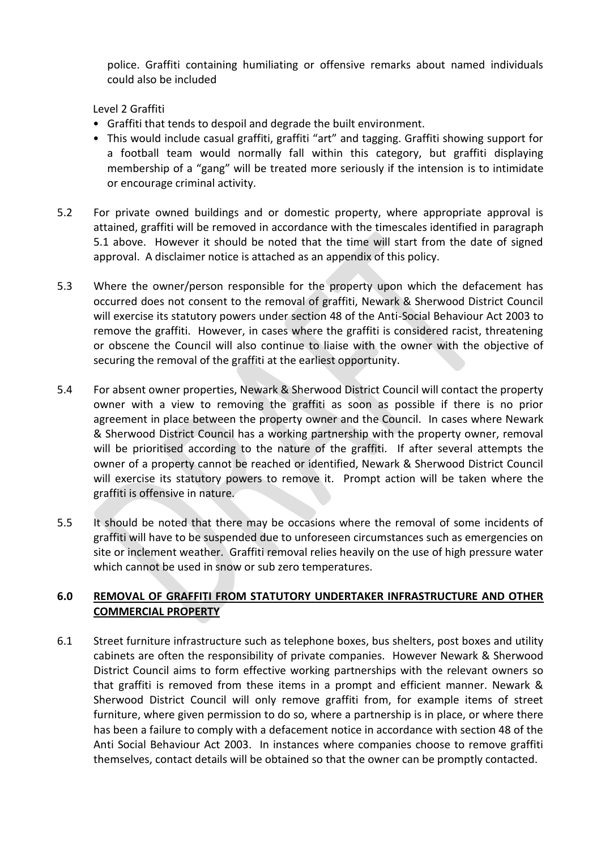police. Graffiti containing humiliating or offensive remarks about named individuals could also be included

Level 2 Graffiti

- Graffiti that tends to despoil and degrade the built environment.
- This would include casual graffiti, graffiti "art" and tagging. Graffiti showing support for a football team would normally fall within this category, but graffiti displaying membership of a "gang" will be treated more seriously if the intension is to intimidate or encourage criminal activity.
- 5.2 For private owned buildings and or domestic property, where appropriate approval is attained, graffiti will be removed in accordance with the timescales identified in paragraph 5.1 above. However it should be noted that the time will start from the date of signed approval. A disclaimer notice is attached as an appendix of this policy.
- 5.3 Where the owner/person responsible for the property upon which the defacement has occurred does not consent to the removal of graffiti, Newark & Sherwood District Council will exercise its statutory powers under section 48 of the Anti-Social Behaviour Act 2003 to remove the graffiti. However, in cases where the graffiti is considered racist, threatening or obscene the Council will also continue to liaise with the owner with the objective of securing the removal of the graffiti at the earliest opportunity.
- 5.4 For absent owner properties, Newark & Sherwood District Council will contact the property owner with a view to removing the graffiti as soon as possible if there is no prior agreement in place between the property owner and the Council. In cases where Newark & Sherwood District Council has a working partnership with the property owner, removal will be prioritised according to the nature of the graffiti. If after several attempts the owner of a property cannot be reached or identified, Newark & Sherwood District Council will exercise its statutory powers to remove it. Prompt action will be taken where the graffiti is offensive in nature.
- 5.5 It should be noted that there may be occasions where the removal of some incidents of graffiti will have to be suspended due to unforeseen circumstances such as emergencies on site or inclement weather. Graffiti removal relies heavily on the use of high pressure water which cannot be used in snow or sub zero temperatures.

# **6.0 REMOVAL OF GRAFFITI FROM STATUTORY UNDERTAKER INFRASTRUCTURE AND OTHER COMMERCIAL PROPERTY**

6.1 Street furniture infrastructure such as telephone boxes, bus shelters, post boxes and utility cabinets are often the responsibility of private companies. However Newark & Sherwood District Council aims to form effective working partnerships with the relevant owners so that graffiti is removed from these items in a prompt and efficient manner. Newark & Sherwood District Council will only remove graffiti from, for example items of street furniture, where given permission to do so, where a partnership is in place, or where there has been a failure to comply with a defacement notice in accordance with section 48 of the Anti Social Behaviour Act 2003. In instances where companies choose to remove graffiti themselves, contact details will be obtained so that the owner can be promptly contacted.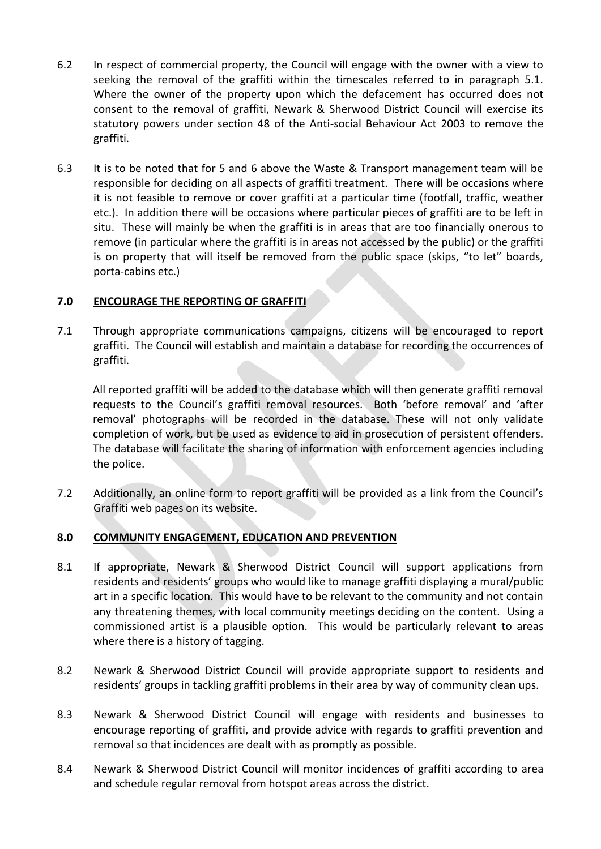- 6.2 In respect of commercial property, the Council will engage with the owner with a view to seeking the removal of the graffiti within the timescales referred to in paragraph 5.1. Where the owner of the property upon which the defacement has occurred does not consent to the removal of graffiti, Newark & Sherwood District Council will exercise its statutory powers under section 48 of the Anti-social Behaviour Act 2003 to remove the graffiti.
- 6.3 It is to be noted that for 5 and 6 above the Waste & Transport management team will be responsible for deciding on all aspects of graffiti treatment. There will be occasions where it is not feasible to remove or cover graffiti at a particular time (footfall, traffic, weather etc.). In addition there will be occasions where particular pieces of graffiti are to be left in situ. These will mainly be when the graffiti is in areas that are too financially onerous to remove (in particular where the graffiti is in areas not accessed by the public) or the graffiti is on property that will itself be removed from the public space (skips, "to let" boards, porta-cabins etc.)

#### **7.0 ENCOURAGE THE REPORTING OF GRAFFITI**

7.1 Through appropriate communications campaigns, citizens will be encouraged to report graffiti. The Council will establish and maintain a database for recording the occurrences of graffiti.

All reported graffiti will be added to the database which will then generate graffiti removal requests to the Council's graffiti removal resources. Both 'before removal' and 'after removal' photographs will be recorded in the database. These will not only validate completion of work, but be used as evidence to aid in prosecution of persistent offenders. The database will facilitate the sharing of information with enforcement agencies including the police.

7.2 Additionally, an online form to report graffiti will be provided as a link from the Council's Graffiti web pages on its website.

## **8.0 COMMUNITY ENGAGEMENT, EDUCATION AND PREVENTION**

- 8.1 If appropriate, Newark & Sherwood District Council will support applications from residents and residents' groups who would like to manage graffiti displaying a mural/public art in a specific location. This would have to be relevant to the community and not contain any threatening themes, with local community meetings deciding on the content. Using a commissioned artist is a plausible option. This would be particularly relevant to areas where there is a history of tagging.
- 8.2 Newark & Sherwood District Council will provide appropriate support to residents and residents' groups in tackling graffiti problems in their area by way of community clean ups.
- 8.3 Newark & Sherwood District Council will engage with residents and businesses to encourage reporting of graffiti, and provide advice with regards to graffiti prevention and removal so that incidences are dealt with as promptly as possible.
- 8.4 Newark & Sherwood District Council will monitor incidences of graffiti according to area and schedule regular removal from hotspot areas across the district.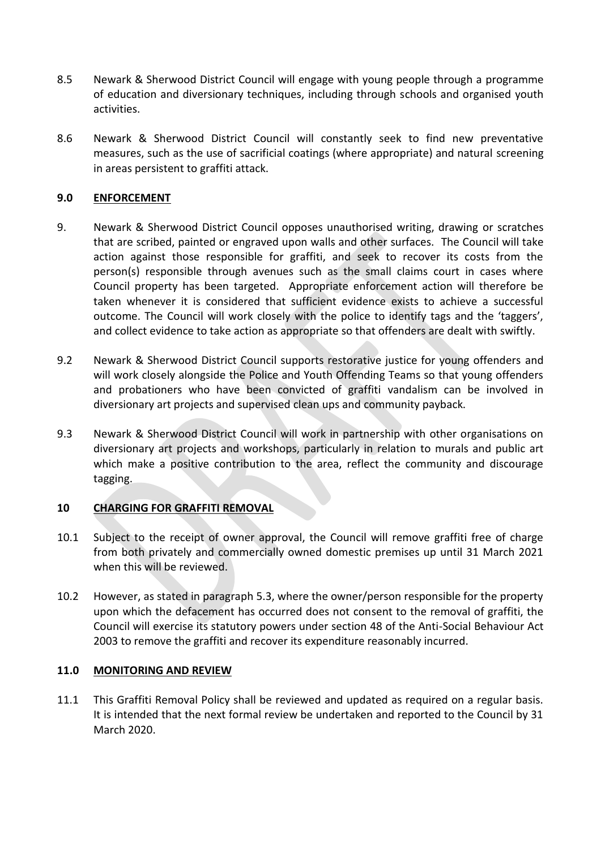- 8.5 Newark & Sherwood District Council will engage with young people through a programme of education and diversionary techniques, including through schools and organised youth activities.
- 8.6 Newark & Sherwood District Council will constantly seek to find new preventative measures, such as the use of sacrificial coatings (where appropriate) and natural screening in areas persistent to graffiti attack.

### **9.0 ENFORCEMENT**

- 9. Newark & Sherwood District Council opposes unauthorised writing, drawing or scratches that are scribed, painted or engraved upon walls and other surfaces. The Council will take action against those responsible for graffiti, and seek to recover its costs from the person(s) responsible through avenues such as the small claims court in cases where Council property has been targeted. Appropriate enforcement action will therefore be taken whenever it is considered that sufficient evidence exists to achieve a successful outcome. The Council will work closely with the police to identify tags and the 'taggers', and collect evidence to take action as appropriate so that offenders are dealt with swiftly.
- 9.2 Newark & Sherwood District Council supports restorative justice for young offenders and will work closely alongside the Police and Youth Offending Teams so that young offenders and probationers who have been convicted of graffiti vandalism can be involved in diversionary art projects and supervised clean ups and community payback.
- 9.3 Newark & Sherwood District Council will work in partnership with other organisations on diversionary art projects and workshops, particularly in relation to murals and public art which make a positive contribution to the area, reflect the community and discourage tagging.

## **10 CHARGING FOR GRAFFITI REMOVAL**

- 10.1 Subject to the receipt of owner approval, the Council will remove graffiti free of charge from both privately and commercially owned domestic premises up until 31 March 2021 when this will be reviewed.
- 10.2 However, as stated in paragraph 5.3, where the owner/person responsible for the property upon which the defacement has occurred does not consent to the removal of graffiti, the Council will exercise its statutory powers under section 48 of the Anti-Social Behaviour Act 2003 to remove the graffiti and recover its expenditure reasonably incurred.

#### **11.0 MONITORING AND REVIEW**

11.1 This Graffiti Removal Policy shall be reviewed and updated as required on a regular basis. It is intended that the next formal review be undertaken and reported to the Council by 31 March 2020.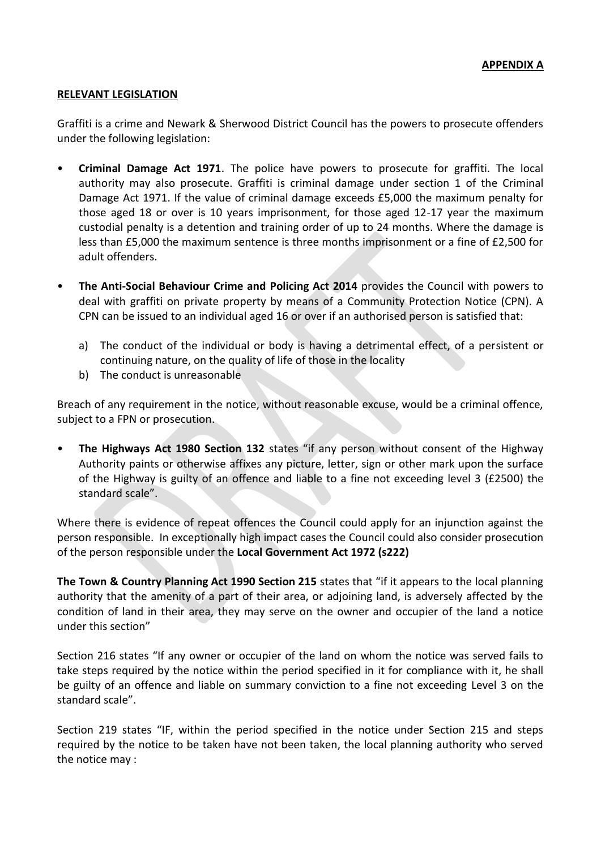#### **RELEVANT LEGISLATION**

Graffiti is a crime and Newark & Sherwood District Council has the powers to prosecute offenders under the following legislation:

- **Criminal Damage Act 1971**. The police have powers to prosecute for graffiti. The local authority may also prosecute. Graffiti is criminal damage under section 1 of the Criminal Damage Act 1971. If the value of criminal damage exceeds £5,000 the maximum penalty for those aged 18 or over is 10 years imprisonment, for those aged 12-17 year the maximum custodial penalty is a detention and training order of up to 24 months. Where the damage is less than £5,000 the maximum sentence is three months imprisonment or a fine of £2,500 for adult offenders.
- **The Anti-Social Behaviour Crime and Policing Act 2014** provides the Council with powers to deal with graffiti on private property by means of a Community Protection Notice (CPN). A CPN can be issued to an individual aged 16 or over if an authorised person is satisfied that:
	- a) The conduct of the individual or body is having a detrimental effect, of a persistent or continuing nature, on the quality of life of those in the locality
	- b) The conduct is unreasonable

Breach of any requirement in the notice, without reasonable excuse, would be a criminal offence, subject to a FPN or prosecution.

• **The Highways Act 1980 Section 132** states "if any person without consent of the Highway Authority paints or otherwise affixes any picture, letter, sign or other mark upon the surface of the Highway is guilty of an offence and liable to a fine not exceeding level 3 (£2500) the standard scale".

Where there is evidence of repeat offences the Council could apply for an injunction against the person responsible. In exceptionally high impact cases the Council could also consider prosecution of the person responsible under the **Local Government Act 1972 (s222)**

**The Town & Country Planning Act 1990 Section 215** states that "if it appears to the local planning authority that the amenity of a part of their area, or adjoining land, is adversely affected by the condition of land in their area, they may serve on the owner and occupier of the land a notice under this section"

Section 216 states "If any owner or occupier of the land on whom the notice was served fails to take steps required by the notice within the period specified in it for compliance with it, he shall be guilty of an offence and liable on summary conviction to a fine not exceeding Level 3 on the standard scale".

Section 219 states "IF, within the period specified in the notice under Section 215 and steps required by the notice to be taken have not been taken, the local planning authority who served the notice may :